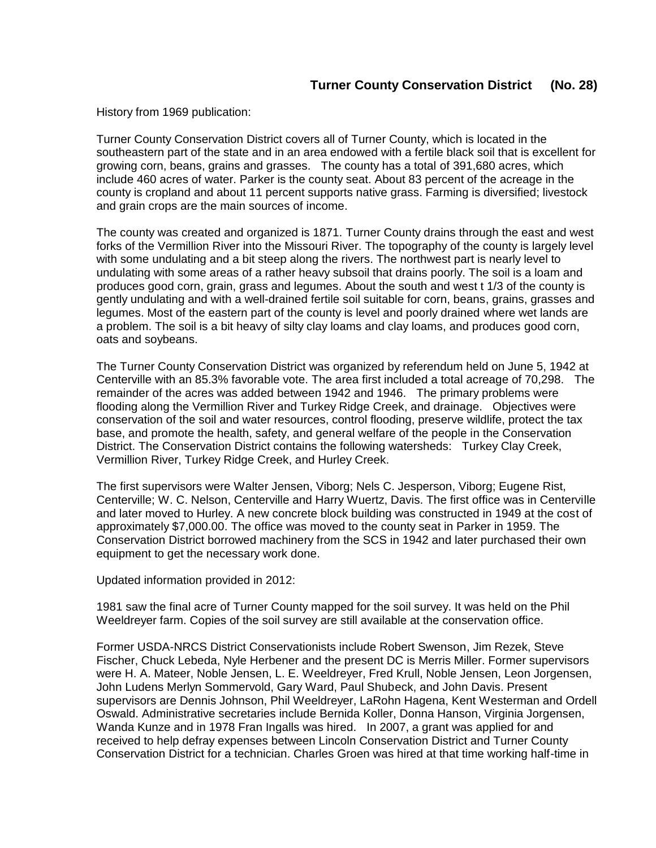History from 1969 publication:

Turner County Conservation District covers all of Turner County, which is located in the southeastern part of the state and in an area endowed with a fertile black soil that is excellent for growing corn, beans, grains and grasses. The county has a total of 391,680 acres, which include 460 acres of water. Parker is the county seat. About 83 percent of the acreage in the county is cropland and about 11 percent supports native grass. Farming is diversified; livestock and grain crops are the main sources of income.

The county was created and organized is 1871. Turner County drains through the east and west forks of the Vermillion River into the Missouri River. The topography of the county is largely level with some undulating and a bit steep along the rivers. The northwest part is nearly level to undulating with some areas of a rather heavy subsoil that drains poorly. The soil is a loam and produces good corn, grain, grass and legumes. About the south and west t 1/3 of the county is gently undulating and with a well-drained fertile soil suitable for corn, beans, grains, grasses and legumes. Most of the eastern part of the county is level and poorly drained where wet lands are a problem. The soil is a bit heavy of silty clay loams and clay loams, and produces good corn, oats and soybeans.

The Turner County Conservation District was organized by referendum held on June 5, 1942 at Centerville with an 85.3% favorable vote. The area first included a total acreage of 70,298. The remainder of the acres was added between 1942 and 1946. The primary problems were flooding along the Vermillion River and Turkey Ridge Creek, and drainage. Objectives were conservation of the soil and water resources, control flooding, preserve wildlife, protect the tax base, and promote the health, safety, and general welfare of the people in the Conservation District. The Conservation District contains the following watersheds: Turkey Clay Creek, Vermillion River, Turkey Ridge Creek, and Hurley Creek.

The first supervisors were Walter Jensen, Viborg; Nels C. Jesperson, Viborg; Eugene Rist, Centerville; W. C. Nelson, Centerville and Harry Wuertz, Davis. The first office was in Centerville and later moved to Hurley. A new concrete block building was constructed in 1949 at the cost of approximately \$7,000.00. The office was moved to the county seat in Parker in 1959. The Conservation District borrowed machinery from the SCS in 1942 and later purchased their own equipment to get the necessary work done.

Updated information provided in 2012:

1981 saw the final acre of Turner County mapped for the soil survey. It was held on the Phil Weeldreyer farm. Copies of the soil survey are still available at the conservation office.

Former USDA-NRCS District Conservationists include Robert Swenson, Jim Rezek, Steve Fischer, Chuck Lebeda, Nyle Herbener and the present DC is Merris Miller. Former supervisors were H. A. Mateer, Noble Jensen, L. E. Weeldreyer, Fred Krull, Noble Jensen, Leon Jorgensen, John Ludens Merlyn Sommervold, Gary Ward, Paul Shubeck, and John Davis. Present supervisors are Dennis Johnson, Phil Weeldreyer, LaRohn Hagena, Kent Westerman and Ordell Oswald. Administrative secretaries include Bernida Koller, Donna Hanson, Virginia Jorgensen, Wanda Kunze and in 1978 Fran Ingalls was hired. In 2007, a grant was applied for and received to help defray expenses between Lincoln Conservation District and Turner County Conservation District for a technician. Charles Groen was hired at that time working half-time in